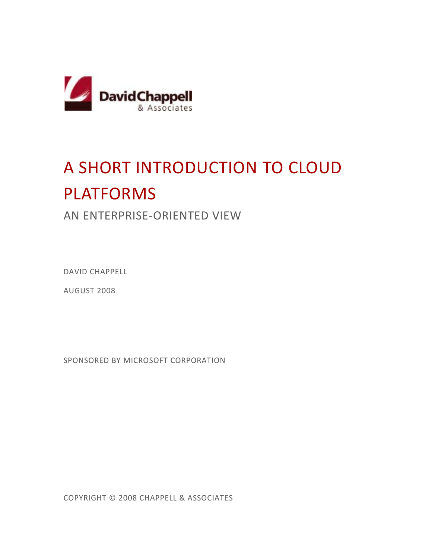

# A SHORT INTRODUCTION TO CLOUD PLATFORMS

## AN ENTERPRISE-ORIENTED VIEW

DAVID CHAPPELL

AUGUST 2008

SPONSORED BY MICROSOFT CORPORATION

COPYRIGHT © 2008 CHAPPELL & ASSOCIATES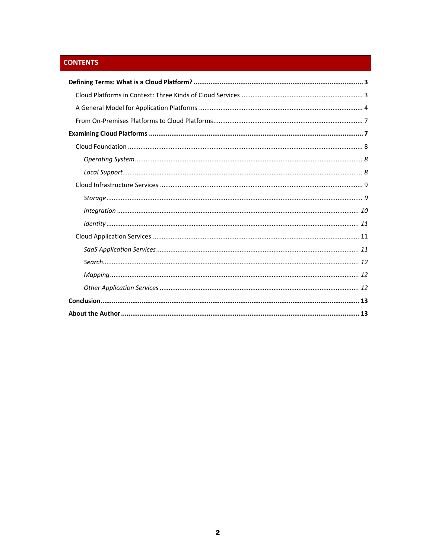### **CONTENTS**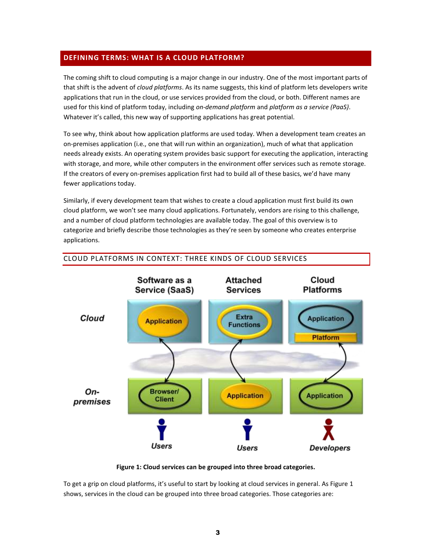#### <span id="page-2-0"></span>**DEFINING TERMS: WHAT IS A CLOUD PLATFORM?**

The coming shift to cloud computing is a major change in our industry. One of the most important parts of that shift is the advent of *cloud platforms*. As its name suggests, this kind of platform lets developers write applications that run in the cloud, or use services provided from the cloud, or both. Different names are used for this kind of platform today, including *on-demand platform* and *platform as a service (PaaS)*. Whatever it's called, this new way of supporting applications has great potential.

To see why, think about how application platforms are used today. When a development team creates an on-premises application (i.e., one that will run within an organization), much of what that application needs already exists. An operating system provides basic support for executing the application, interacting with storage, and more, while other computers in the environment offer services such as remote storage. If the creators of every on-premises application first had to build all of these basics, we'd have many fewer applications today.

Similarly, if every development team that wishes to create a cloud application must first build its own cloud platform, we won't see many cloud applications. Fortunately, vendors are rising to this challenge, and a number of cloud platform technologies are available today. The goal of this overview is to categorize and briefly describe those technologies as they're seen by someone who creates enterprise applications.



#### <span id="page-2-1"></span>CLOUD PLATFORMS IN CONTEXT: THREE KINDS OF CLOUD SERVICES

**Figure 1: Cloud services can be grouped into three broad categories.**

To get a grip on cloud platforms, it's useful to start by looking at cloud services in general. As Figure 1 shows, services in the cloud can be grouped into three broad categories. Those categories are: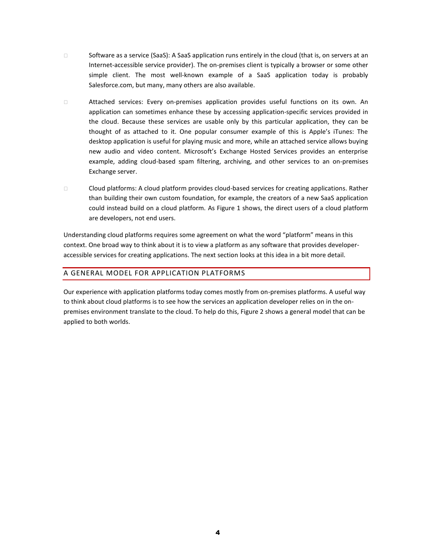- □ Software as a service (SaaS): A SaaS application runs entirely in the cloud (that is, on servers at an Internet-accessible service provider). The on-premises client is typically a browser or some other simple client. The most well-known example of a SaaS application today is probably Salesforce.com, but many, many others are also available.
- Attached services: Every on-premises application provides useful functions on its own. An application can sometimes enhance these by accessing application-specific services provided in the cloud. Because these services are usable only by this particular application, they can be thought of as attached to it. One popular consumer example of this is Apple's iTunes: The desktop application is useful for playing music and more, while an attached service allows buying new audio and video content. Microsoft's Exchange Hosted Services provides an enterprise example, adding cloud-based spam filtering, archiving, and other services to an on-premises Exchange server.
- Cloud platforms: A cloud platform provides cloud-based services for creating applications. Rather than building their own custom foundation, for example, the creators of a new SaaS application could instead build on a cloud platform. As Figure 1 shows, the direct users of a cloud platform are developers, not end users.

Understanding cloud platforms requires some agreement on what the word "platform" means in this context. One broad way to think about it is to view a platform as any software that provides developeraccessible services for creating applications. The next section looks at this idea in a bit more detail.

#### <span id="page-3-0"></span>A GENERAL MODEL FOR APPLICATION PLATFORMS

Our experience with application platforms today comes mostly from on-premises platforms. A useful way to think about cloud platforms is to see how the services an application developer relies on in the onpremises environment translate to the cloud. To help do this, Figure 2 shows a general model that can be applied to both worlds.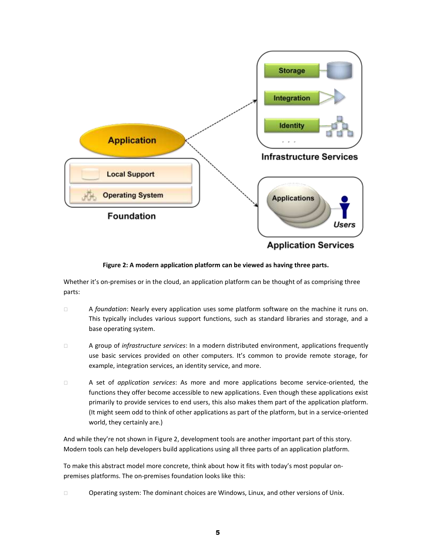

**Figure 2: A modern application platform can be viewed as having three parts.**

Whether it's on-premises or in the cloud, an application platform can be thought of as comprising three parts:

- A *foundation*: Nearly every application uses some platform software on the machine it runs on. This typically includes various support functions, such as standard libraries and storage, and a base operating system.
- A group of *infrastructure services*: In a modern distributed environment, applications frequently use basic services provided on other computers. It's common to provide remote storage, for example, integration services, an identity service, and more.
- A set of *application services*: As more and more applications become service-oriented, the functions they offer become accessible to new applications. Even though these applications exist primarily to provide services to end users, this also makes them part of the application platform. (It might seem odd to think of other applications as part of the platform, but in a service-oriented world, they certainly are.)

And while they're not shown in Figure 2, development tools are another important part of this story. Modern tools can help developers build applications using all three parts of an application platform.

To make this abstract model more concrete, think about how it fits with today's most popular onpremises platforms. The on-premises foundation looks like this:

Operating system: The dominant choices are Windows, Linux, and other versions of Unix.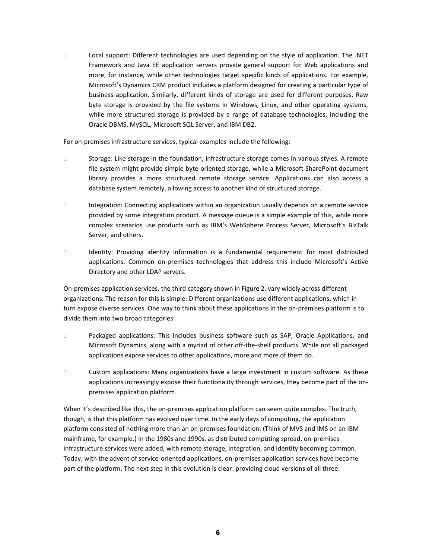Local support: Different technologies are used depending on the style of application. The .NET Framework and Java EE application servers provide general support for Web applications and more, for instance, while other technologies target specific kinds of applications. For example, Microsoft's Dynamics CRM product includes a platform designed for creating a particular type of business application. Similarly, different kinds of storage are used for different purposes. Raw byte storage is provided by the file systems in Windows, Linux, and other operating systems, while more structured storage is provided by a range of database technologies, including the Oracle DBMS, MySQL, Microsoft SQL Server, and IBM DB2.

For on-premises infrastructure services, typical examples include the following:

- $\Box$  Storage: Like storage in the foundation, infrastructure storage comes in various styles. A remote file system might provide simple byte-oriented storage, while a Microsoft SharePoint document library provides a more structured remote storage service. Applications can also access a database system remotely, allowing access to another kind of structured storage.
- Integration: Connecting applications within an organization usually depends on a remote service provided by some integration product. A message queue is a simple example of this, while more complex scenarios use products such as IBM's WebSphere Process Server, Microsoft's BizTalk Server, and others.
- Identity: Providing identity information is a fundamental requirement for most distributed applications. Common on-premises technologies that address this include Microsoft's Active Directory and other LDAP servers.

On-premises application services, the third category shown in Figure 2, vary widely across different organizations. The reason for this is simple: Different organizations use different applications, which in turn expose diverse services. One way to think about these applications in the on-premises platform is to divide them into two broad categories:

- Packaged applications: This includes business software such as SAP, Oracle Applications, and Microsoft Dynamics, along with a myriad of other off-the-shelf products. While not all packaged applications expose services to other applications, more and more of them do.
- Custom applications: Many organizations have a large investment in custom software. As these applications increasingly expose their functionality through services, they become part of the onpremises application platform.

When it's described like this, the on-premises application platform can seem quite complex. The truth, though, is that this platform has evolved over time. In the early days of computing, the application platform consisted of nothing more than an on-premises foundation. (Think of MVS and IMS on an IBM mainframe, for example.) In the 1980s and 1990s, as distributed computing spread, on-premises infrastructure services were added, with remote storage, integration, and identity becoming common. Today, with the advent of service-oriented applications, on-premises application services have become part of the platform. The next step in this evolution is clear: providing cloud versions of all three.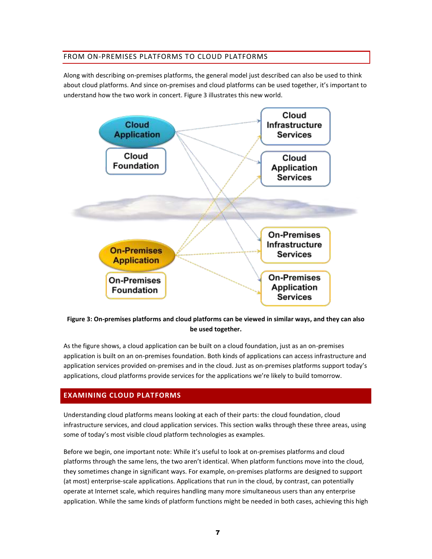#### <span id="page-6-0"></span>FROM ON-PREMISES PLATFORMS TO CLOUD PLATFORMS

Along with describing on-premises platforms, the general model just described can also be used to think about cloud platforms. And since on-premises and cloud platforms can be used together, it's important to understand how the two work in concert. Figure 3 illustrates this new world.



#### **Figure 3: On-premises platforms and cloud platforms can be viewed in similar ways, and they can also be used together.**

As the figure shows, a cloud application can be built on a cloud foundation, just as an on-premises application is built on an on-premises foundation. Both kinds of applications can access infrastructure and application services provided on-premises and in the cloud. Just as on-premises platforms support today's applications, cloud platforms provide services for the applications we're likely to build tomorrow.

#### <span id="page-6-1"></span>**EXAMINING CLOUD PLATFORMS**

Understanding cloud platforms means looking at each of their parts: the cloud foundation, cloud infrastructure services, and cloud application services. This section walks through these three areas, using some of today's most visible cloud platform technologies as examples.

Before we begin, one important note: While it's useful to look at on-premises platforms and cloud platforms through the same lens, the two aren't identical. When platform functions move into the cloud, they sometimes change in significant ways. For example, on-premises platforms are designed to support (at most) enterprise-scale applications. Applications that run in the cloud, by contrast, can potentially operate at Internet scale, which requires handling many more simultaneous users than any enterprise application. While the same kinds of platform functions might be needed in both cases, achieving this high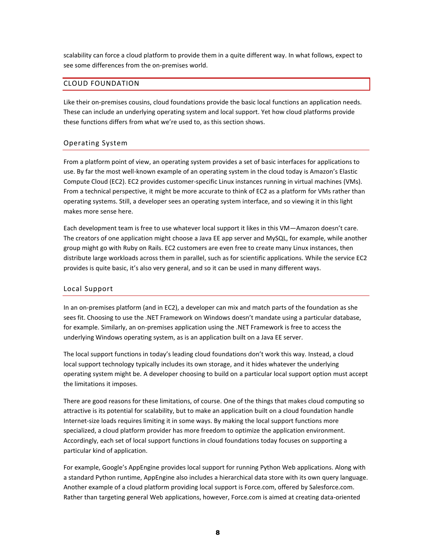scalability can force a cloud platform to provide them in a quite different way. In what follows, expect to see some differences from the on-premises world.

#### <span id="page-7-0"></span>CLOUD FOUNDATION

Like their on-premises cousins, cloud foundations provide the basic local functions an application needs. These can include an underlying operating system and local support. Yet how cloud platforms provide these functions differs from what we're used to, as this section shows.

#### <span id="page-7-1"></span>Operating System

From a platform point of view, an operating system provides a set of basic interfaces for applications to use. By far the most well-known example of an operating system in the cloud today is Amazon's Elastic Compute Cloud (EC2). EC2 provides customer-specific Linux instances running in virtual machines (VMs). From a technical perspective, it might be more accurate to think of EC2 as a platform for VMs rather than operating systems. Still, a developer sees an operating system interface, and so viewing it in this light makes more sense here.

Each development team is free to use whatever local support it likes in this VM—Amazon doesn't care. The creators of one application might choose a Java EE app server and MySQL, for example, while another group might go with Ruby on Rails. EC2 customers are even free to create many Linux instances, then distribute large workloads across them in parallel, such as for scientific applications. While the service EC2 provides is quite basic, it's also very general, and so it can be used in many different ways.

#### <span id="page-7-2"></span>Local Support

In an on-premises platform (and in EC2), a developer can mix and match parts of the foundation as she sees fit. Choosing to use the .NET Framework on Windows doesn't mandate using a particular database, for example. Similarly, an on-premises application using the .NET Framework is free to access the underlying Windows operating system, as is an application built on a Java EE server.

The local support functions in today's leading cloud foundations don't work this way. Instead, a cloud local support technology typically includes its own storage, and it hides whatever the underlying operating system might be. A developer choosing to build on a particular local support option must accept the limitations it imposes.

There are good reasons for these limitations, of course. One of the things that makes cloud computing so attractive is its potential for scalability, but to make an application built on a cloud foundation handle Internet-size loads requires limiting it in some ways. By making the local support functions more specialized, a cloud platform provider has more freedom to optimize the application environment. Accordingly, each set of local support functions in cloud foundations today focuses on supporting a particular kind of application.

For example, Google's AppEngine provides local support for running Python Web applications. Along with a standard Python runtime, AppEngine also includes a hierarchical data store with its own query language. Another example of a cloud platform providing local support is Force.com, offered by Salesforce.com. Rather than targeting general Web applications, however, Force.com is aimed at creating data-oriented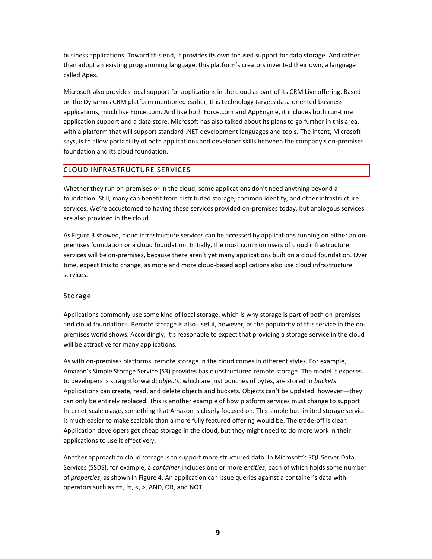business applications. Toward this end, it provides its own focused support for data storage. And rather than adopt an existing programming language, this platform's creators invented their own, a language called Apex.

Microsoft also provides local support for applications in the cloud as part of its CRM Live offering. Based on the Dynamics CRM platform mentioned earlier, this technology targets data-oriented business applications, much like Force.com. And like both Force.com and AppEngine, it includes both run-time application support and a data store. Microsoft has also talked about its plans to go further in this area, with a platform that will support standard .NET development languages and tools. The intent, Microsoft says, is to allow portability of both applications and developer skills between the company's on-premises foundation and its cloud foundation.

#### <span id="page-8-0"></span>CLOUD INFRASTRUCTURE SERVICES

Whether they run on-premises or in the cloud, some applications don't need anything beyond a foundation. Still, many can benefit from distributed storage, common identity, and other infrastructure services. We're accustomed to having these services provided on-premises today, but analogous services are also provided in the cloud.

As Figure 3 showed, cloud infrastructure services can be accessed by applications running on either an onpremises foundation or a cloud foundation. Initially, the most common users of cloud infrastructure services will be on-premises, because there aren't yet many applications built on a cloud foundation. Over time, expect this to change, as more and more cloud-based applications also use cloud infrastructure services.

#### <span id="page-8-1"></span>Storage

Applications commonly use some kind of local storage, which is why storage is part of both on-premises and cloud foundations. Remote storage is also useful, however, as the popularity of this service in the onpremises world shows. Accordingly, it's reasonable to expect that providing a storage service in the cloud will be attractive for many applications.

As with on-premises platforms, remote storage in the cloud comes in different styles. For example, Amazon's Simple Storage Service (S3) provides basic unstructured remote storage. The model it exposes to developers is straightforward: *objects*, which are just bunches of bytes, are stored in *buckets*. Applications can create, read, and delete objects and buckets. Objects can't be updated, however—they can only be entirely replaced. This is another example of how platform services must change to support Internet-scale usage, something that Amazon is clearly focused on. This simple but limited storage service is much easier to make scalable than a more fully featured offering would be. The trade-off is clear: Application developers get cheap storage in the cloud, but they might need to do more work in their applications to use it effectively.

Another approach to cloud storage is to support more structured data. In Microsoft's SQL Server Data Services (SSDS), for example, a *container* includes one or more *entities*, each of which holds some number of *properties*, as shown in Figure 4. An application can issue queries against a container's data with operators such as  $==$ ,  $!=$ ,  $\lt$ ,  $\gt$ , AND, OR, and NOT.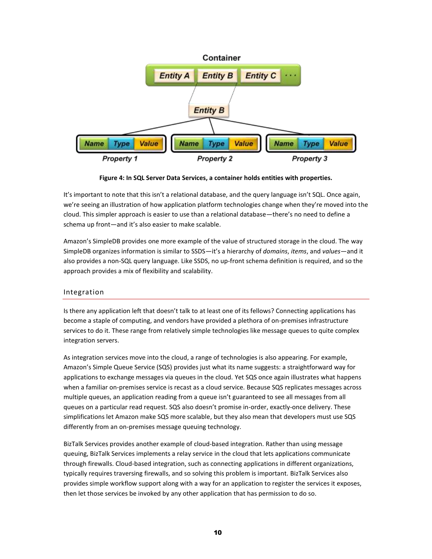

**Figure 4: In SQL Server Data Services, a container holds entities with properties.**

It's important to note that this isn't a relational database, and the query language isn't SQL. Once again, we're seeing an illustration of how application platform technologies change when they're moved into the cloud. This simpler approach is easier to use than a relational database—there's no need to define a schema up front—and it's also easier to make scalable.

Amazon's SimpleDB provides one more example of the value of structured storage in the cloud. The way SimpleDB organizes information is similar to SSDS—it's a hierarchy of *domains*, *items*, and *values*—and it also provides a non-SQL query language. Like SSDS, no up-front schema definition is required, and so the approach provides a mix of flexibility and scalability.

#### <span id="page-9-0"></span>Integration

Is there any application left that doesn't talk to at least one of its fellows? Connecting applications has become a staple of computing, and vendors have provided a plethora of on-premises infrastructure services to do it. These range from relatively simple technologies like message queues to quite complex integration servers.

As integration services move into the cloud, a range of technologies is also appearing. For example, Amazon's Simple Queue Service (SQS) provides just what its name suggests: a straightforward way for applications to exchange messages via queues in the cloud. Yet SQS once again illustrates what happens when a familiar on-premises service is recast as a cloud service. Because SQS replicates messages across multiple queues, an application reading from a queue isn't guaranteed to see all messages from all queues on a particular read request. SQS also doesn't promise in-order, exactly-once delivery. These simplifications let Amazon make SQS more scalable, but they also mean that developers must use SQS differently from an on-premises message queuing technology.

BizTalk Services provides another example of cloud-based integration. Rather than using message queuing, BizTalk Services implements a relay service in the cloud that lets applications communicate through firewalls. Cloud-based integration, such as connecting applications in different organizations, typically requires traversing firewalls, and so solving this problem is important. BizTalk Services also provides simple workflow support along with a way for an application to register the services it exposes, then let those services be invoked by any other application that has permission to do so.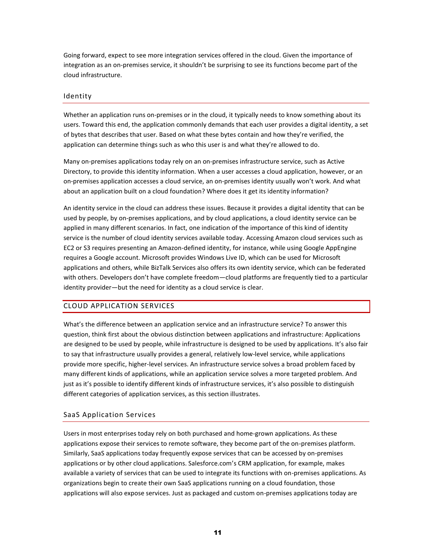Going forward, expect to see more integration services offered in the cloud. Given the importance of integration as an on-premises service, it shouldn't be surprising to see its functions become part of the cloud infrastructure.

#### <span id="page-10-0"></span>Identity

Whether an application runs on-premises or in the cloud, it typically needs to know something about its users. Toward this end, the application commonly demands that each user provides a digital identity, a set of bytes that describes that user. Based on what these bytes contain and how they're verified, the application can determine things such as who this user is and what they're allowed to do.

Many on-premises applications today rely on an on-premises infrastructure service, such as Active Directory, to provide this identity information. When a user accesses a cloud application, however, or an on-premises application accesses a cloud service, an on-premises identity usually won't work. And what about an application built on a cloud foundation? Where does it get its identity information?

An identity service in the cloud can address these issues. Because it provides a digital identity that can be used by people, by on-premises applications, and by cloud applications, a cloud identity service can be applied in many different scenarios. In fact, one indication of the importance of this kind of identity service is the number of cloud identity services available today. Accessing Amazon cloud services such as EC2 or S3 requires presenting an Amazon-defined identity, for instance, while using Google AppEngine requires a Google account. Microsoft provides Windows Live ID, which can be used for Microsoft applications and others, while BizTalk Services also offers its own identity service, which can be federated with others. Developers don't have complete freedom—cloud platforms are frequently tied to a particular identity provider—but the need for identity as a cloud service is clear.

#### <span id="page-10-1"></span>CLOUD APPLICATION SERVICES

What's the difference between an application service and an infrastructure service? To answer this question, think first about the obvious distinction between applications and infrastructure: Applications are designed to be used by people, while infrastructure is designed to be used by applications. It's also fair to say that infrastructure usually provides a general, relatively low-level service, while applications provide more specific, higher-level services. An infrastructure service solves a broad problem faced by many different kinds of applications, while an application service solves a more targeted problem. And just as it's possible to identify different kinds of infrastructure services, it's also possible to distinguish different categories of application services, as this section illustrates.

#### <span id="page-10-2"></span>SaaS Application Services

Users in most enterprises today rely on both purchased and home-grown applications. As these applications expose their services to remote software, they become part of the on-premises platform. Similarly, SaaS applications today frequently expose services that can be accessed by on-premises applications or by other cloud applications. Salesforce.com's CRM application, for example, makes available a variety of services that can be used to integrate its functions with on-premises applications. As organizations begin to create their own SaaS applications running on a cloud foundation, those applications will also expose services. Just as packaged and custom on-premises applications today are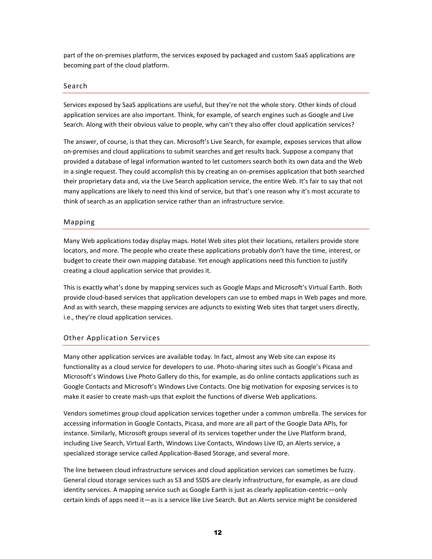part of the on-premises platform, the services exposed by packaged and custom SaaS applications are becoming part of the cloud platform.

#### <span id="page-11-0"></span>Search

Services exposed by SaaS applications are useful, but they're not the whole story. Other kinds of cloud application services are also important. Think, for example, of search engines such as Google and Live Search. Along with their obvious value to people, why can't they also offer cloud application services?

The answer, of course, is that they can. Microsoft's Live Search, for example, exposes services that allow on-premises and cloud applications to submit searches and get results back. Suppose a company that provided a database of legal information wanted to let customers search both its own data and the Web in a single request. They could accomplish this by creating an on-premises application that both searched their proprietary data and, via the Live Search application service, the entire Web. It's fair to say that not many applications are likely to need this kind of service, but that's one reason why it's most accurate to think of search as an application service rather than an infrastructure service.

#### <span id="page-11-1"></span>Mapping

Many Web applications today display maps. Hotel Web sites plot their locations, retailers provide store locators, and more. The people who create these applications probably don't have the time, interest, or budget to create their own mapping database. Yet enough applications need this function to justify creating a cloud application service that provides it.

This is exactly what's done by mapping services such as Google Maps and Microsoft's Virtual Earth. Both provide cloud-based services that application developers can use to embed maps in Web pages and more. And as with search, these mapping services are adjuncts to existing Web sites that target users directly, i.e., they're cloud application services.

#### <span id="page-11-2"></span>Other Application Services

Many other application services are available today. In fact, almost any Web site can expose its functionality as a cloud service for developers to use. Photo-sharing sites such as Google's Picasa and Microsoft's Windows Live Photo Gallery do this, for example, as do online contacts applications such as Google Contacts and Microsoft's Windows Live Contacts. One big motivation for exposing services is to make it easier to create mash-ups that exploit the functions of diverse Web applications.

Vendors sometimes group cloud application services together under a common umbrella. The services for accessing information in Google Contacts, Picasa, and more are all part of the Google Data APIs, for instance. Similarly, Microsoft groups several of its services together under the Live Platform brand, including Live Search, Virtual Earth, Windows Live Contacts, Windows Live ID, an Alerts service, a specialized storage service called Application-Based Storage, and several more.

The line between cloud infrastructure services and cloud application services can sometimes be fuzzy. General cloud storage services such as S3 and SSDS are clearly infrastructure, for example, as are cloud identity services. A mapping service such as Google Earth is just as clearly application-centric—only certain kinds of apps need it—as is a service like Live Search. But an Alerts service might be considered